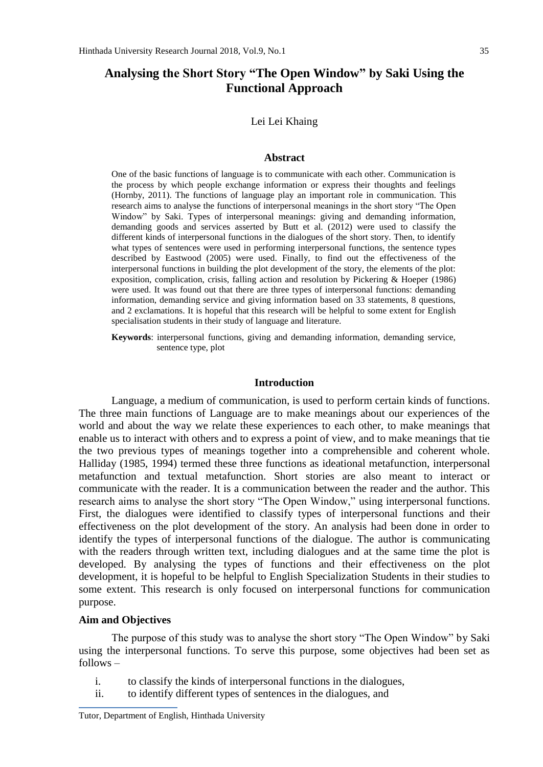# **Analysing the Short Story "The Open Window" by Saki Using the Functional Approach**

Lei Lei Khaing

### **Abstract**

One of the basic functions of language is to communicate with each other. Communication is the process by which people exchange information or express their thoughts and feelings (Hornby, 2011). The functions of language play an important role in communication. This research aims to analyse the functions of interpersonal meanings in the short story "The Open Window" by Saki. Types of interpersonal meanings: giving and demanding information, demanding goods and services asserted by Butt et al. (2012) were used to classify the different kinds of interpersonal functions in the dialogues of the short story. Then, to identify what types of sentences were used in performing interpersonal functions, the sentence types described by Eastwood (2005) were used. Finally, to find out the effectiveness of the interpersonal functions in building the plot development of the story, the elements of the plot: exposition, complication, crisis, falling action and resolution by Pickering & Hoeper (1986) were used. It was found out that there are three types of interpersonal functions: demanding information, demanding service and giving information based on 33 statements, 8 questions, and 2 exclamations. It is hopeful that this research will be helpful to some extent for English specialisation students in their study of language and literature.

**Keywords**: interpersonal functions, giving and demanding information, demanding service, sentence type, plot

#### **Introduction**

Language, a medium of communication, is used to perform certain kinds of functions. The three main functions of Language are to make meanings about our experiences of the world and about the way we relate these experiences to each other, to make meanings that enable us to interact with others and to express a point of view, and to make meanings that tie the two previous types of meanings together into a comprehensible and coherent whole. Halliday (1985, 1994) termed these three functions as ideational metafunction, interpersonal metafunction and textual metafunction. Short stories are also meant to interact or communicate with the reader. It is a communication between the reader and the author. This research aims to analyse the short story "The Open Window," using interpersonal functions. First, the dialogues were identified to classify types of interpersonal functions and their effectiveness on the plot development of the story. An analysis had been done in order to identify the types of interpersonal functions of the dialogue. The author is communicating with the readers through written text, including dialogues and at the same time the plot is developed. By analysing the types of functions and their effectiveness on the plot development, it is hopeful to be helpful to English Specialization Students in their studies to some extent. This research is only focused on interpersonal functions for communication purpose.

# **Aim and Objectives**

The purpose of this study was to analyse the short story "The Open Window" by Saki using the interpersonal functions. To serve this purpose, some objectives had been set as follows –

- i. to classify the kinds of interpersonal functions in the dialogues,
- ii. to identify different types of sentences in the dialogues, and

Tutor, Department of English, Hinthada University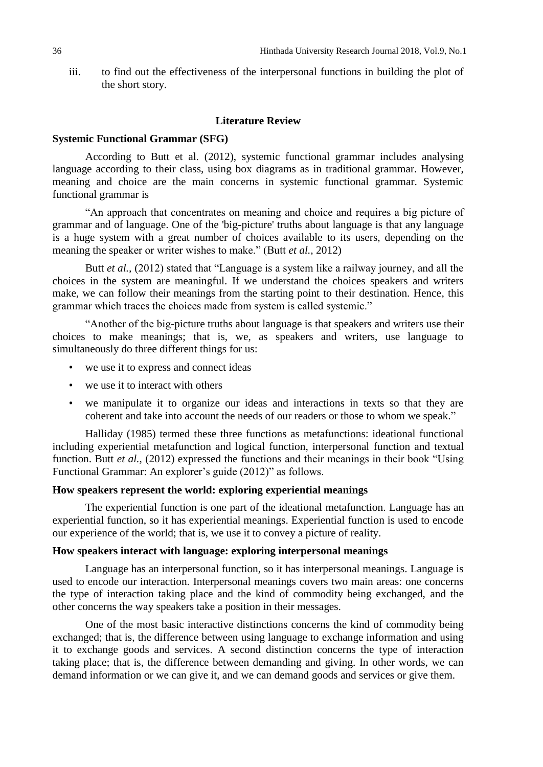iii. to find out the effectiveness of the interpersonal functions in building the plot of the short story.

#### **Literature Review**

#### **Systemic Functional Grammar (SFG)**

According to Butt et al. (2012), systemic functional grammar includes analysing language according to their class, using box diagrams as in traditional grammar. However, meaning and choice are the main concerns in systemic functional grammar. Systemic functional grammar is

"An approach that concentrates on meaning and choice and requires a big picture of grammar and of language. One of the 'big-picture' truths about language is that any language is a huge system with a great number of choices available to its users, depending on the meaning the speaker or writer wishes to make." (Butt *et al.,* 2012)

Butt *et al.,* (2012) stated that "Language is a system like a railway journey, and all the choices in the system are meaningful. If we understand the choices speakers and writers make, we can follow their meanings from the starting point to their destination. Hence, this grammar which traces the choices made from system is called systemic."

"Another of the big-picture truths about language is that speakers and writers use their choices to make meanings; that is, we, as speakers and writers, use language to simultaneously do three different things for us:

- we use it to express and connect ideas
- we use it to interact with others
- we manipulate it to organize our ideas and interactions in texts so that they are coherent and take into account the needs of our readers or those to whom we speak."

Halliday (1985) termed these three functions as metafunctions: ideational functional including experiential metafunction and logical function, interpersonal function and textual function. Butt *et al.,* (2012) expressed the functions and their meanings in their book "Using Functional Grammar: An explorer's guide (2012)" as follows.

### **How speakers represent the world: exploring experiential meanings**

The experiential function is one part of the ideational metafunction. Language has an experiential function, so it has experiential meanings. Experiential function is used to encode our experience of the world; that is, we use it to convey a picture of reality.

#### **How speakers interact with language: exploring interpersonal meanings**

Language has an interpersonal function, so it has interpersonal meanings. Language is used to encode our interaction. Interpersonal meanings covers two main areas: one concerns the type of interaction taking place and the kind of commodity being exchanged, and the other concerns the way speakers take a position in their messages.

One of the most basic interactive distinctions concerns the kind of commodity being exchanged; that is, the difference between using language to exchange information and using it to exchange goods and services. A second distinction concerns the type of interaction taking place; that is, the difference between demanding and giving. In other words, we can demand information or we can give it, and we can demand goods and services or give them.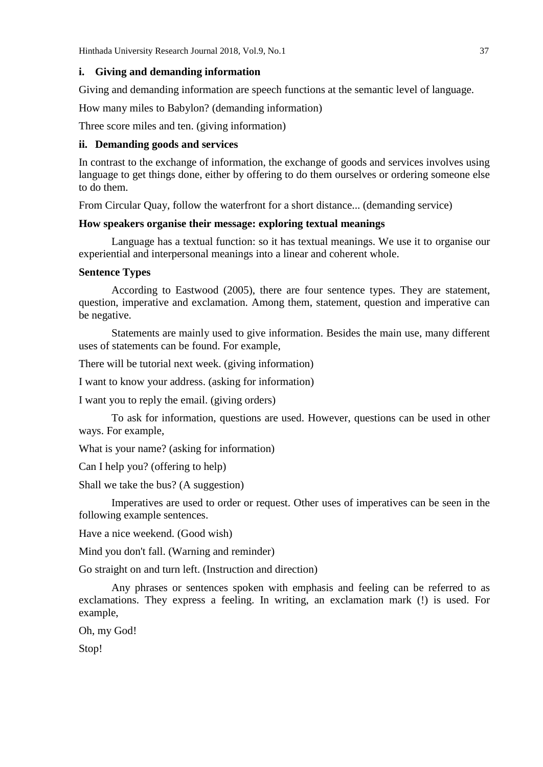# **i. Giving and demanding information**

Giving and demanding information are speech functions at the semantic level of language.

How many miles to Babylon? (demanding information)

Three score miles and ten. (giving information)

# **ii. Demanding goods and services**

In contrast to the exchange of information, the exchange of goods and services involves using language to get things done, either by offering to do them ourselves or ordering someone else to do them.

From Circular Quay, follow the waterfront for a short distance... (demanding service)

# **How speakers organise their message: exploring textual meanings**

Language has a textual function: so it has textual meanings. We use it to organise our experiential and interpersonal meanings into a linear and coherent whole.

# **Sentence Types**

According to Eastwood (2005), there are four sentence types. They are statement, question, imperative and exclamation. Among them, statement, question and imperative can be negative.

Statements are mainly used to give information. Besides the main use, many different uses of statements can be found. For example,

There will be tutorial next week. (giving information)

I want to know your address. (asking for information)

I want you to reply the email. (giving orders)

To ask for information, questions are used. However, questions can be used in other ways. For example,

What is your name? (asking for information)

Can I help you? (offering to help)

Shall we take the bus? (A suggestion)

Imperatives are used to order or request. Other uses of imperatives can be seen in the following example sentences.

Have a nice weekend. (Good wish)

Mind you don't fall. (Warning and reminder)

Go straight on and turn left. (Instruction and direction)

Any phrases or sentences spoken with emphasis and feeling can be referred to as exclamations. They express a feeling. In writing, an exclamation mark (!) is used. For example,

Oh, my God!

Stop!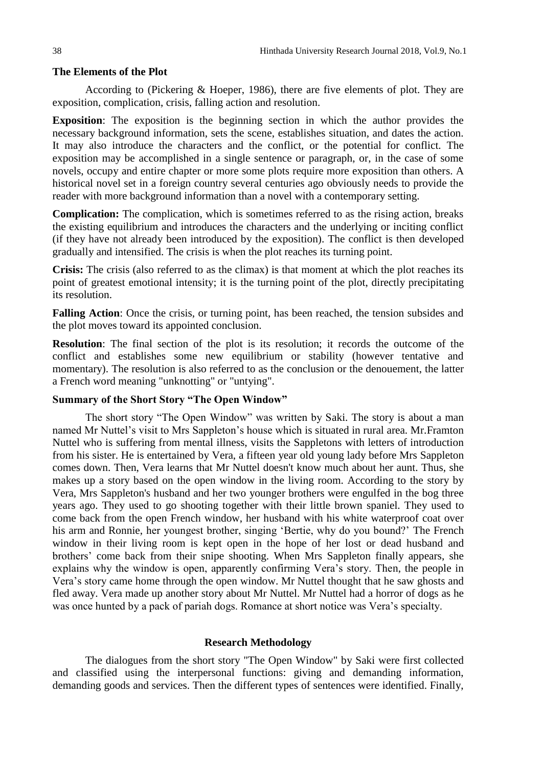### **The Elements of the Plot**

According to (Pickering & Hoeper, 1986), there are five elements of plot. They are exposition, complication, crisis, falling action and resolution.

**Exposition**: The exposition is the beginning section in which the author provides the necessary background information, sets the scene, establishes situation, and dates the action. It may also introduce the characters and the conflict, or the potential for conflict. The exposition may be accomplished in a single sentence or paragraph, or, in the case of some novels, occupy and entire chapter or more some plots require more exposition than others. A historical novel set in a foreign country several centuries ago obviously needs to provide the reader with more background information than a novel with a contemporary setting.

**Complication:** The complication, which is sometimes referred to as the rising action, breaks the existing equilibrium and introduces the characters and the underlying or inciting conflict (if they have not already been introduced by the exposition). The conflict is then developed gradually and intensified. The crisis is when the plot reaches its turning point.

**Crisis:** The crisis (also referred to as the climax) is that moment at which the plot reaches its point of greatest emotional intensity; it is the turning point of the plot, directly precipitating its resolution.

**Falling Action**: Once the crisis, or turning point, has been reached, the tension subsides and the plot moves toward its appointed conclusion.

**Resolution**: The final section of the plot is its resolution; it records the outcome of the conflict and establishes some new equilibrium or stability (however tentative and momentary). The resolution is also referred to as the conclusion or the denouement, the latter a French word meaning "unknotting" or "untying".

# **Summary of the Short Story "The Open Window"**

The short story "The Open Window" was written by Saki. The story is about a man named Mr Nuttel's visit to Mrs Sappleton's house which is situated in rural area. Mr.Framton Nuttel who is suffering from mental illness, visits the Sappletons with letters of introduction from his sister. He is entertained by Vera, a fifteen year old young lady before Mrs Sappleton comes down. Then, Vera learns that Mr Nuttel doesn't know much about her aunt. Thus, she makes up a story based on the open window in the living room. According to the story by Vera, Mrs Sappleton's husband and her two younger brothers were engulfed in the bog three years ago. They used to go shooting together with their little brown spaniel. They used to come back from the open French window, her husband with his white waterproof coat over his arm and Ronnie, her youngest brother, singing 'Bertie, why do you bound?' The French window in their living room is kept open in the hope of her lost or dead husband and brothers' come back from their snipe shooting. When Mrs Sappleton finally appears, she explains why the window is open, apparently confirming Vera's story. Then, the people in Vera's story came home through the open window. Mr Nuttel thought that he saw ghosts and fled away. Vera made up another story about Mr Nuttel. Mr Nuttel had a horror of dogs as he was once hunted by a pack of pariah dogs. Romance at short notice was Vera's specialty.

# **Research Methodology**

The dialogues from the short story "The Open Window" by Saki were first collected and classified using the interpersonal functions: giving and demanding information, demanding goods and services. Then the different types of sentences were identified. Finally,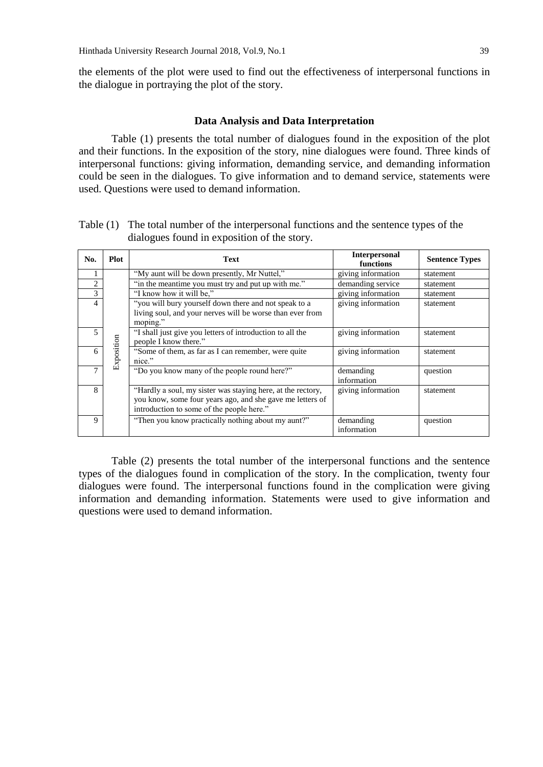the elements of the plot were used to find out the effectiveness of interpersonal functions in the dialogue in portraying the plot of the story.

### **Data Analysis and Data Interpretation**

Table (1) presents the total number of dialogues found in the exposition of the plot and their functions. In the exposition of the story, nine dialogues were found. Three kinds of interpersonal functions: giving information, demanding service, and demanding information could be seen in the dialogues. To give information and to demand service, statements were used. Questions were used to demand information.

| No.            | <b>Plot</b> | <b>Text</b>                                                                                                                                                           | <b>Interpersonal</b><br>functions | <b>Sentence Types</b> |
|----------------|-------------|-----------------------------------------------------------------------------------------------------------------------------------------------------------------------|-----------------------------------|-----------------------|
|                |             | "My aunt will be down presently, Mr Nuttel,"                                                                                                                          | giving information                | statement             |
| $\overline{2}$ |             | "in the meantime you must try and put up with me."                                                                                                                    | demanding service                 | statement             |
| 3              |             | "I know how it will be."                                                                                                                                              | giving information                | statement             |
| 4              |             | "you will bury yourself down there and not speak to a<br>living soul, and your nerves will be worse than ever from<br>moping."                                        | giving information                | statement             |
| 5              |             | "I shall just give you letters of introduction to all the<br>people I know there."                                                                                    | giving information                | statement             |
| 6              | Exposition  | "Some of them, as far as I can remember, were quite<br>nice."                                                                                                         | giving information                | statement             |
| 7              |             | "Do you know many of the people round here?"                                                                                                                          | demanding<br>information          | question              |
| 8              |             | "Hardly a soul, my sister was staying here, at the rectory,<br>you know, some four years ago, and she gave me letters of<br>introduction to some of the people here." | giving information                | statement             |
| Q.             |             | "Then you know practically nothing about my aunt?"                                                                                                                    | demanding<br>information          | question              |

Table (1) The total number of the interpersonal functions and the sentence types of the dialogues found in exposition of the story.

Table (2) presents the total number of the interpersonal functions and the sentence types of the dialogues found in complication of the story. In the complication, twenty four dialogues were found. The interpersonal functions found in the complication were giving information and demanding information. Statements were used to give information and questions were used to demand information.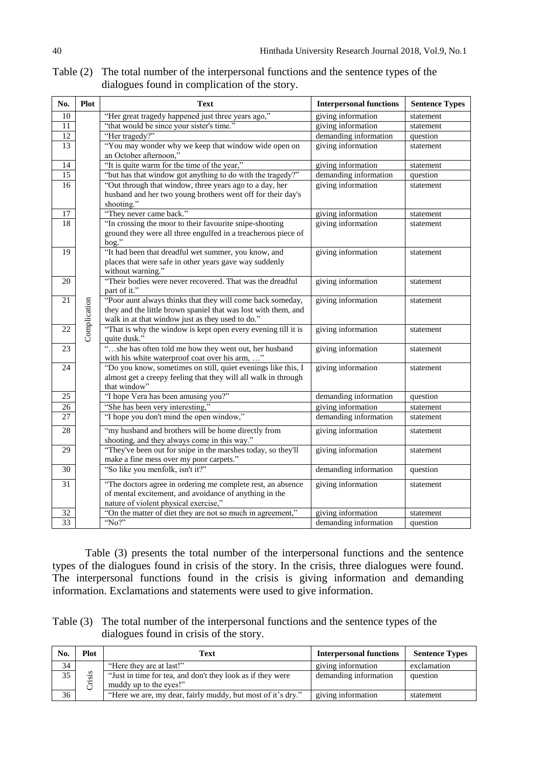| No.             | Plot         | <b>Text</b>                                                    | <b>Interpersonal functions</b> | <b>Sentence Types</b> |
|-----------------|--------------|----------------------------------------------------------------|--------------------------------|-----------------------|
| 10              |              | "Her great tragedy happened just three years ago,"             | giving information             | statement             |
| 11              |              | "that would be since your sister's time."                      | giving information             | statement             |
| 12              |              | "Her tragedy?"                                                 | demanding information          | question              |
| 13              |              | "You may wonder why we keep that window wide open on           | giving information             | statement             |
|                 |              | an October afternoon,"                                         |                                |                       |
| 14              |              | "It is quite warm for the time of the year,"                   | giving information             | statement             |
| 15              |              | "but has that window got anything to do with the tragedy?"     | demanding information          | question              |
| 16              |              | "Out through that window, three years ago to a day, her        | giving information             | statement             |
|                 |              | husband and her two young brothers went off for their day's    |                                |                       |
|                 |              | shooting."                                                     |                                |                       |
| 17              |              | "They never came back."                                        | giving information             | statement             |
| 18              |              | "In crossing the moor to their favourite snipe-shooting        | giving information             | statement             |
|                 |              | ground they were all three engulfed in a treacherous piece of  |                                |                       |
|                 |              | bog."                                                          |                                |                       |
| 19              |              | "It had been that dreadful wet summer, you know, and           | giving information             | statement             |
|                 |              | places that were safe in other years gave way suddenly         |                                |                       |
|                 |              | without warning."                                              |                                |                       |
| 20              |              | "Their bodies were never recovered. That was the dreadful      | giving information             | statement             |
|                 |              | part of it."                                                   |                                |                       |
| $\overline{21}$ |              | "Poor aunt always thinks that they will come back someday,     | giving information             | statement             |
|                 |              | they and the little brown spaniel that was lost with them, and |                                |                       |
|                 | Complication | walk in at that window just as they used to do."               |                                |                       |
| 22              |              | "That is why the window is kept open every evening till it is  | giving information             | statement             |
|                 |              | quite dusk."                                                   |                                |                       |
| 23              |              | "she has often told me how they went out, her husband          | giving information             | statement             |
|                 |              | with his white waterproof coat over his arm, "                 |                                |                       |
| 24              |              | "Do you know, sometimes on still, quiet evenings like this, I  | giving information             | statement             |
|                 |              | almost get a creepy feeling that they will all walk in through |                                |                       |
| 25              |              | that window"<br>"I hope Vera has been amusing you?"            | demanding information          | question              |
| 26              |              | "She has been very interesting,"                               | giving information             | statement             |
| 27              |              | "I hope you don't mind the open window,"                       | demanding information          |                       |
|                 |              |                                                                |                                | statement             |
| 28              |              | "my husband and brothers will be home directly from            | giving information             | statement             |
|                 |              | shooting, and they always come in this way."                   |                                |                       |
| 29              |              | "They've been out for snipe in the marshes today, so they'll   | giving information             | statement             |
|                 |              | make a fine mess over my poor carpets."                        |                                |                       |
| 30              |              | "So like you menfolk, isn't it?"                               | demanding information          | question              |
| 31              |              | "The doctors agree in ordering me complete rest, an absence    | giving information             | statement             |
|                 |              | of mental excitement, and avoidance of anything in the         |                                |                       |
|                 |              | nature of violent physical exercise,"                          |                                |                       |
| 32              |              | "On the matter of diet they are not so much in agreement,"     | giving information             | statement             |
| 33              |              | "No?"                                                          | demanding information          | question              |

Table (2) The total number of the interpersonal functions and the sentence types of the dialogues found in complication of the story.

Table (3) presents the total number of the interpersonal functions and the sentence types of the dialogues found in crisis of the story. In the crisis, three dialogues were found. The interpersonal functions found in the crisis is giving information and demanding information. Exclamations and statements were used to give information.

Table (3) The total number of the interpersonal functions and the sentence types of the dialogues found in crisis of the story.

| No.             | Plot | Text                                                        | <b>Interpersonal functions</b> | <b>Sentence Types</b> |
|-----------------|------|-------------------------------------------------------------|--------------------------------|-----------------------|
| $\frac{34}{35}$ |      | "Here they are at last!"                                    | giving information             | exclamation           |
|                 | sis  | "Just in time for tea, and don't they look as if they were  | demanding information          | question              |
|                 | ∵⊏   | muddy up to the eyes!"                                      |                                |                       |
| 36              |      | "Here we are, my dear, fairly muddy, but most of it's dry." | giving information             | statement             |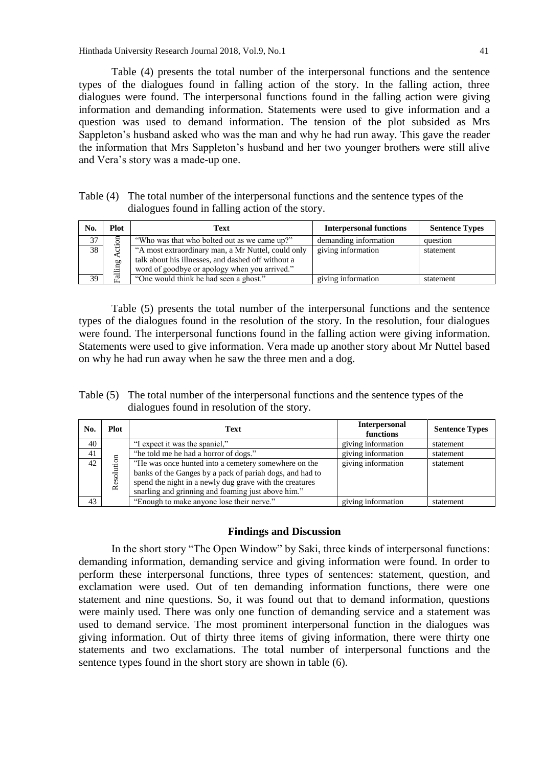Hinthada University Research Journal 2018, Vol.9, No.1 41

Table (4) presents the total number of the interpersonal functions and the sentence types of the dialogues found in falling action of the story. In the falling action, three dialogues were found. The interpersonal functions found in the falling action were giving information and demanding information. Statements were used to give information and a question was used to demand information. The tension of the plot subsided as Mrs Sappleton's husband asked who was the man and why he had run away. This gave the reader the information that Mrs Sappleton's husband and her two younger brothers were still alive and Vera's story was a made-up one.

| Table (4) The total number of the interpersonal functions and the sentence types of the |
|-----------------------------------------------------------------------------------------|
| dialogues found in falling action of the story.                                         |

| No. | Plot | Text                                                                                                                                                      | <b>Interpersonal functions</b> | <b>Sentence Types</b> |
|-----|------|-----------------------------------------------------------------------------------------------------------------------------------------------------------|--------------------------------|-----------------------|
| 37  |      | "Who was that who bolted out as we came up?"                                                                                                              | demanding information          | question              |
| 38  | ling | "A most extraordinary man, a Mr Nuttel, could only<br>talk about his illnesses, and dashed off without a<br>word of goodbye or apology when you arrived." | giving information             | statement             |
| 39  | ಸ    | "One would think he had seen a ghost."                                                                                                                    | giving information             | statement             |

Table (5) presents the total number of the interpersonal functions and the sentence types of the dialogues found in the resolution of the story. In the resolution, four dialogues were found. The interpersonal functions found in the falling action were giving information. Statements were used to give information. Vera made up another story about Mr Nuttel based on why he had run away when he saw the three men and a dog.

Table (5) The total number of the interpersonal functions and the sentence types of the dialogues found in resolution of the story.

| No. | Plot       | Text                                                                                                                                                                                                                              | <b>Interpersonal</b><br>functions | <b>Sentence Types</b> |
|-----|------------|-----------------------------------------------------------------------------------------------------------------------------------------------------------------------------------------------------------------------------------|-----------------------------------|-----------------------|
| 40  |            | "I expect it was the spaniel,"                                                                                                                                                                                                    | giving information                | statement             |
| 41  |            | "he told me he had a horror of dogs."                                                                                                                                                                                             | giving information                | statement             |
| 42  | Resolution | "He was once hunted into a cemetery somewhere on the<br>banks of the Ganges by a pack of pariah dogs, and had to<br>spend the night in a newly dug grave with the creatures<br>snarling and grinning and foaming just above him." | giving information                | statement             |
| 43  |            | "Enough to make anyone lose their nerve."                                                                                                                                                                                         | giving information                | statement             |

### **Findings and Discussion**

In the short story "The Open Window" by Saki, three kinds of interpersonal functions: demanding information, demanding service and giving information were found. In order to perform these interpersonal functions, three types of sentences: statement, question, and exclamation were used. Out of ten demanding information functions, there were one statement and nine questions. So, it was found out that to demand information, questions were mainly used. There was only one function of demanding service and a statement was used to demand service. The most prominent interpersonal function in the dialogues was giving information. Out of thirty three items of giving information, there were thirty one statements and two exclamations. The total number of interpersonal functions and the sentence types found in the short story are shown in table (6).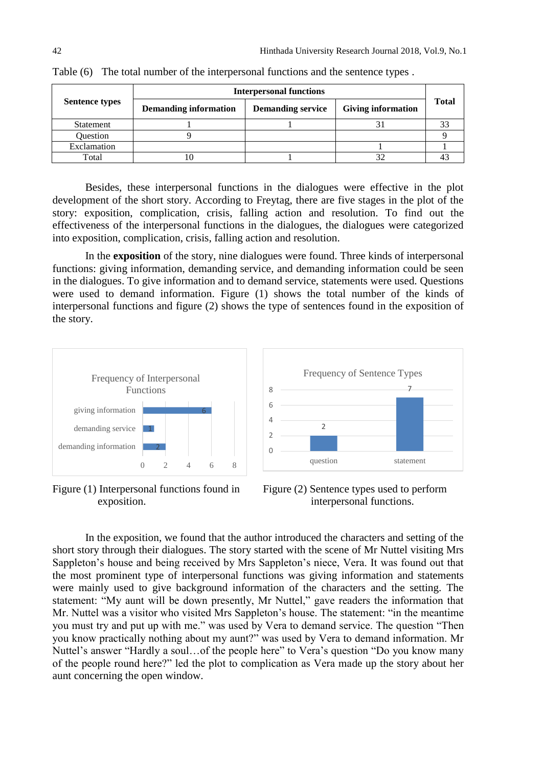|                       | <b>Interpersonal functions</b> |                          |                           |       |  |
|-----------------------|--------------------------------|--------------------------|---------------------------|-------|--|
| <b>Sentence types</b> | <b>Demanding information</b>   | <b>Demanding service</b> | <b>Giving information</b> | Total |  |
| Statement             |                                |                          |                           |       |  |
| Ouestion              |                                |                          |                           |       |  |
| Exclamation           |                                |                          |                           |       |  |
| Total                 |                                |                          |                           |       |  |

Table (6) The total number of the interpersonal functions and the sentence types .

Besides, these interpersonal functions in the dialogues were effective in the plot development of the short story. According to Freytag, there are five stages in the plot of the story: exposition, complication, crisis, falling action and resolution. To find out the effectiveness of the interpersonal functions in the dialogues, the dialogues were categorized into exposition, complication, crisis, falling action and resolution.

In the **exposition** of the story, nine dialogues were found. Three kinds of interpersonal functions: giving information, demanding service, and demanding information could be seen in the dialogues. To give information and to demand service, statements were used. Questions were used to demand information. Figure (1) shows the total number of the kinds of interpersonal functions and figure (2) shows the type of sentences found in the exposition of the story.



Figure (1) Interpersonal functions found in exposition.



Figure (2) Sentence types used to perform interpersonal functions.

In the exposition, we found that the author introduced the characters and setting of the short story through their dialogues. The story started with the scene of Mr Nuttel visiting Mrs Sappleton's house and being received by Mrs Sappleton's niece, Vera. It was found out that the most prominent type of interpersonal functions was giving information and statements were mainly used to give background information of the characters and the setting. The statement: "My aunt will be down presently, Mr Nuttel," gave readers the information that Mr. Nuttel was a visitor who visited Mrs Sappleton's house. The statement: "in the meantime you must try and put up with me." was used by Vera to demand service. The question "Then you know practically nothing about my aunt?" was used by Vera to demand information. Mr Nuttel's answer "Hardly a soul…of the people here" to Vera's question "Do you know many of the people round here?" led the plot to complication as Vera made up the story about her aunt concerning the open window.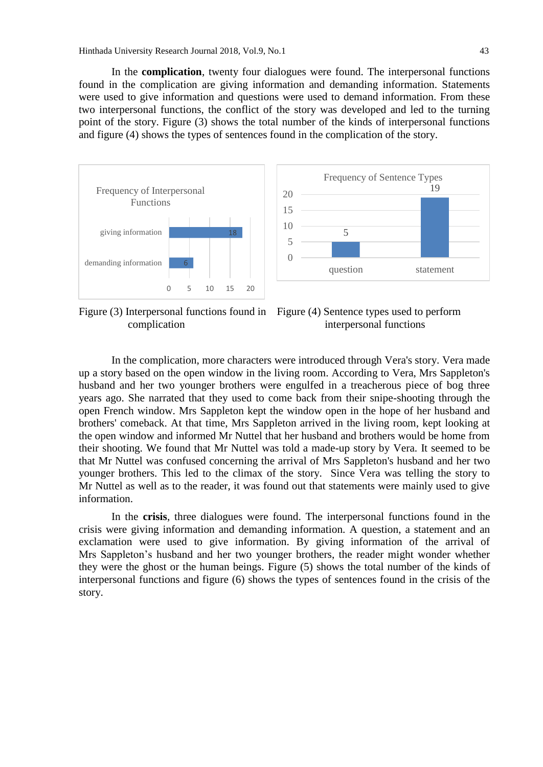In the **complication**, twenty four dialogues were found. The interpersonal functions found in the complication are giving information and demanding information. Statements were used to give information and questions were used to demand information. From these two interpersonal functions, the conflict of the story was developed and led to the turning point of the story. Figure (3) shows the total number of the kinds of interpersonal functions and figure (4) shows the types of sentences found in the complication of the story.





complication



In the complication, more characters were introduced through Vera's story. Vera made up a story based on the open window in the living room. According to Vera, Mrs Sappleton's husband and her two younger brothers were engulfed in a treacherous piece of bog three years ago. She narrated that they used to come back from their snipe-shooting through the open French window. Mrs Sappleton kept the window open in the hope of her husband and brothers' comeback. At that time, Mrs Sappleton arrived in the living room, kept looking at the open window and informed Mr Nuttel that her husband and brothers would be home from their shooting. We found that Mr Nuttel was told a made-up story by Vera. It seemed to be that Mr Nuttel was confused concerning the arrival of Mrs Sappleton's husband and her two younger brothers. This led to the climax of the story. Since Vera was telling the story to Mr Nuttel as well as to the reader, it was found out that statements were mainly used to give information.

In the **crisis**, three dialogues were found. The interpersonal functions found in the crisis were giving information and demanding information. A question, a statement and an exclamation were used to give information. By giving information of the arrival of Mrs Sappleton's husband and her two younger brothers, the reader might wonder whether they were the ghost or the human beings. Figure (5) shows the total number of the kinds of interpersonal functions and figure (6) shows the types of sentences found in the crisis of the story.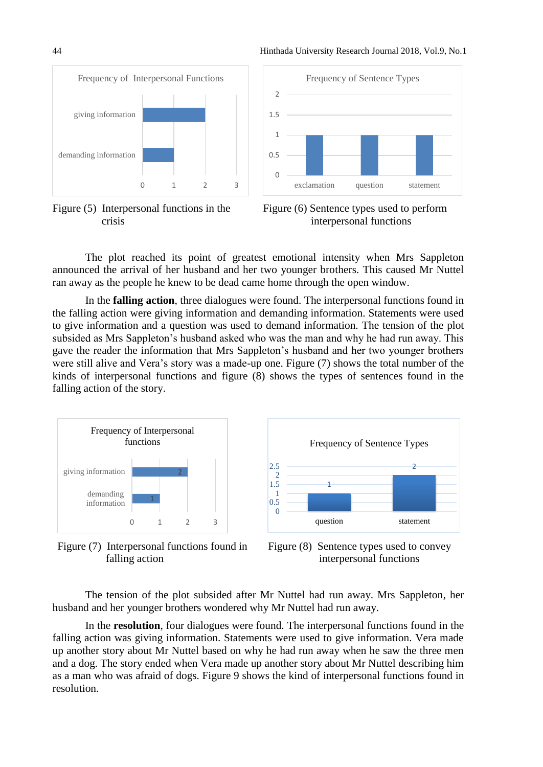44 Hinthada University Research Journal 2018, Vol.9, No.1







Figure (6) Sentence types used to perform interpersonal functions

The plot reached its point of greatest emotional intensity when Mrs Sappleton announced the arrival of her husband and her two younger brothers. This caused Mr Nuttel ran away as the people he knew to be dead came home through the open window.

In the **falling action**, three dialogues were found. The interpersonal functions found in the falling action were giving information and demanding information. Statements were used to give information and a question was used to demand information. The tension of the plot subsided as Mrs Sappleton's husband asked who was the man and why he had run away. This gave the reader the information that Mrs Sappleton's husband and her two younger brothers were still alive and Vera's story was a made-up one. Figure (7) shows the total number of the kinds of interpersonal functions and figure (8) shows the types of sentences found in the falling action of the story.



Figure (7) Interpersonal functions found in falling action



Figure (8) Sentence types used to convey interpersonal functions

The tension of the plot subsided after Mr Nuttel had run away. Mrs Sappleton, her husband and her younger brothers wondered why Mr Nuttel had run away.

In the **resolution**, four dialogues were found. The interpersonal functions found in the falling action was giving information. Statements were used to give information. Vera made up another story about Mr Nuttel based on why he had run away when he saw the three men and a dog. The story ended when Vera made up another story about Mr Nuttel describing him as a man who was afraid of dogs. Figure 9 shows the kind of interpersonal functions found in resolution.